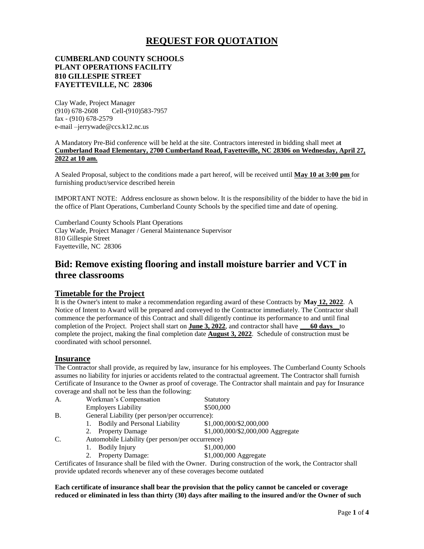# **REQUEST FOR QUOTATION**

### **CUMBERLAND COUNTY SCHOOLS PLANT OPERATIONS FACILITY 810 GILLESPIE STREET FAYETTEVILLE, NC 28306**

Clay Wade, Project Manager (910) 678-2608 Cell-(910)583-7957 fax - (910) 678-2579 e-mail –jerrywade@ccs.k12.nc.us

A Mandatory Pre-Bid conference will be held at the site. Contractors interested in bidding shall meet a**t Cumberland Road Elementary, 2700 Cumberland Road, Fayetteville, NC 28306 on Wednesday, April 27, 2022 at 10 am.**

A Sealed Proposal, subject to the conditions made a part hereof, will be received until **May 10 at 3:00 pm** for furnishing product/service described herein

IMPORTANT NOTE: Address enclosure as shown below. It is the responsibility of the bidder to have the bid in the office of Plant Operations, Cumberland County Schools by the specified time and date of opening.

Cumberland County Schools Plant Operations Clay Wade, Project Manager / General Maintenance Supervisor 810 Gillespie Street Fayetteville, NC 28306

# **Bid: Remove existing flooring and install moisture barrier and VCT in three classrooms**

### **Timetable for the Project**

It is the Owner's intent to make a recommendation regarding award of these Contracts by **May 12, 2022**. A Notice of Intent to Award will be prepared and conveyed to the Contractor immediately. The Contractor shall commence the performance of this Contract and shall diligently continue its performance to and until final completion of the Project. Project shall start on **June 3, 2022**, and contractor shall have **\_\_\_60 days\_\_**to complete the project, making the final completion date **August 3, 2022**. Schedule of construction must be coordinated with school personnel.

#### **Insurance**

The Contractor shall provide, as required by law, insurance for his employees. The Cumberland County Schools assumes no liability for injuries or accidents related to the contractual agreement. The Contractor shall furnish Certificate of Insurance to the Owner as proof of coverage. The Contractor shall maintain and pay for Insurance coverage and shall not be less than the following:

| A.         | Workman's Compensation                           | Statutory                         |  |
|------------|--------------------------------------------------|-----------------------------------|--|
|            | <b>Employers Liability</b>                       | \$500,000                         |  |
| <b>B</b> . | General Liability (per person/per occurrence):   |                                   |  |
|            | <b>Bodily and Personal Liability</b>             | \$1,000,000/\$2,000,000           |  |
|            | 2. Property Damage                               | \$1,000,000/\$2,000,000 Aggregate |  |
| C.         | Automobile Liability (per person/per occurrence) |                                   |  |
|            | <b>Bodily Injury</b>                             | \$1,000,000                       |  |

2. Property Damage:  $$1,000,000$  Aggregate

Certificates of Insurance shall be filed with the Owner. During construction of the work, the Contractor shall provide updated records whenever any of these coverages become outdated

**Each certificate of insurance shall bear the provision that the policy cannot be canceled or coverage reduced or eliminated in less than thirty (30) days after mailing to the insured and/or the Owner of such**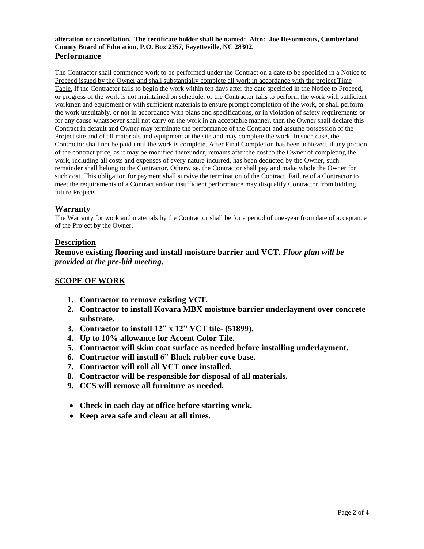#### **alteration or cancellation. The certificate holder shall be named: Attn: Joe Desormeaux, Cumberland County Board of Education, P.O. Box 2357, Fayetteville, NC 28302. Performance**

The Contractor shall commence work to be performed under the Contract on a date to be specified in a Notice to Proceed issued by the Owner and shall substantially complete all work in accordance with the project Time Table. If the Contractor fails to begin the work within ten days after the date specified in the Notice to Proceed, or progress of the work is not maintained on schedule, or the Contractor fails to perform the work with sufficient workmen and equipment or with sufficient materials to ensure prompt completion of the work, or shall perform the work unsuitably, or not in accordance with plans and specifications, or in violation of safety requirements or for any cause whatsoever shall not carry on the work in an acceptable manner, then the Owner shall declare this Contract in default and Owner may terminate the performance of the Contract and assume possession of the Project site and of all materials and equipment at the site and may complete the work. In such case, the Contractor shall not be paid until the work is complete. After Final Completion has been achieved, if any portion of the contract price, as it may be modified thereunder, remains after the cost to the Owner of completing the work, including all costs and expenses of every nature incurred, has been deducted by the Owner, such remainder shall belong to the Contractor. Otherwise, the Contractor shall pay and make whole the Owner for such cost. This obligation for payment shall survive the termination of the Contract. Failure of a Contractor to meet the requirements of a Contract and/or insufficient performance may disqualify Contractor from bidding future Projects.

## **Warranty**

The Warranty for work and materials by the Contractor shall be for a period of one-year from date of acceptance of the Project by the Owner.

### **Description**

**Remove existing flooring and install moisture barrier and VCT.** *Floor plan will be provided at the pre-bid meeting***.**

# **SCOPE OF WORK**

- **1. Contractor to remove existing VCT.**
- **2. Contractor to install Kovara MBX moisture barrier underlayment over concrete substrate.**
- **3. Contractor to install 12" x 12" VCT tile- (51899).**
- **4. Up to 10% allowance for Accent Color Tile.**
- **5. Contractor will skim coat surface as needed before installing underlayment.**
- **6. Contractor will install 6" Black rubber cove base.**
- **7. Contractor will roll all VCT once installed.**
- **8. Contractor will be responsible for disposal of all materials.**
- **9. CCS will remove all furniture as needed.**
- **Check in each day at office before starting work.**
- **Keep area safe and clean at all times.**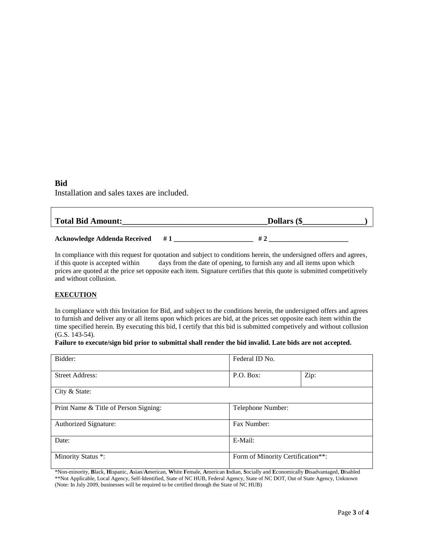# **Bid**

Installation and sales taxes are included.

| <b>Total Bid Amount:</b>            |    | Dollars (\$ |  |  |
|-------------------------------------|----|-------------|--|--|
| <b>Acknowledge Addenda Received</b> | #1 | # 1         |  |  |

In compliance with this request for quotation and subject to conditions herein, the undersigned offers and agrees, if this quote is accepted within days from the date of opening, to furnish any and all items upon which prices are quoted at the price set opposite each item. Signature certifies that this quote is submitted competitively and without collusion.

#### **EXECUTION**

In compliance with this Invitation for Bid, and subject to the conditions herein, the undersigned offers and agrees to furnish and deliver any or all items upon which prices are bid, at the prices set opposite each item within the time specified herein. By executing this bid, I certify that this bid is submitted competively and without collusion (G.S. 143-54).

#### **Failure to execute/sign bid prior to submittal shall render the bid invalid. Late bids are not accepted.**

| Bidder:                               | Federal ID No.                    |      |  |
|---------------------------------------|-----------------------------------|------|--|
|                                       |                                   |      |  |
| <b>Street Address:</b>                | P.O. Box:                         | Zip: |  |
|                                       |                                   |      |  |
| City & State:                         |                                   |      |  |
|                                       |                                   |      |  |
| Print Name & Title of Person Signing: | Telephone Number:                 |      |  |
|                                       |                                   |      |  |
| Authorized Signature:                 | Fax Number:                       |      |  |
|                                       |                                   |      |  |
| Date:                                 | E-Mail:                           |      |  |
|                                       |                                   |      |  |
| Minority Status *:                    | Form of Minority Certification**: |      |  |
|                                       |                                   |      |  |

\*Non-minority, **B**lack, **H**ispanic, **A**sian/**A**merican, **W**hite **F**emale, **A**merican **I**ndian, **S**ocially and **E**conomically **D**isadvantaged, **D**isabled \*\*Not Applicable, Local Agency, Self-Identified, State of NC HUB, Federal Agency, State of NC DOT, Out of State Agency, Unknown (Note: In July 2009, businesses will be required to be certified through the State of NC HUB)